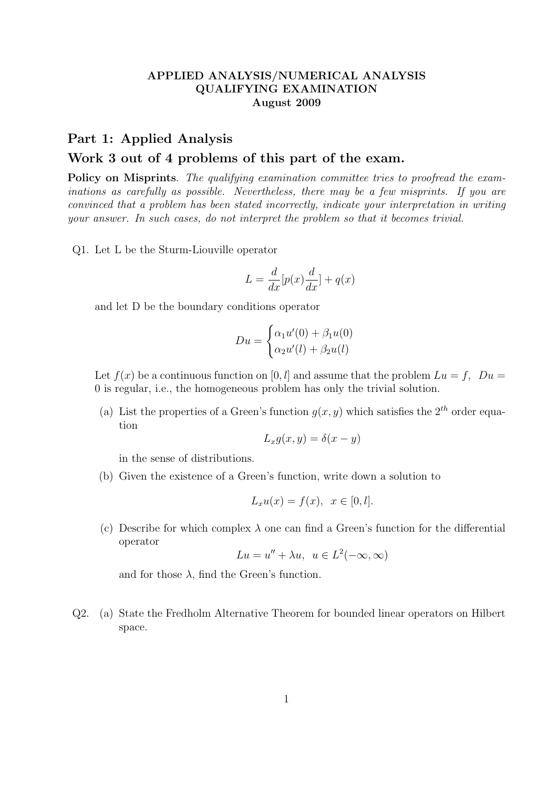## APPLIED ANALYSIS/NUMERICAL ANALYSIS QUALIFYING EXAMINATION August 2009

## Part 1: Applied Analysis Work 3 out of 4 problems of this part of the exam.

Policy on Misprints. The qualifying examination committee tries to proofread the examinations as carefully as possible. Nevertheless, there may be a few misprints. If you are convinced that a problem has been stated incorrectly, indicate your interpretation in writing your answer. In such cases, do not interpret the problem so that it becomes trivial.

Q1. Let L be the Sturm-Liouville operator

$$
L = \frac{d}{dx} [p(x)\frac{d}{dx}] + q(x)
$$

and let D be the boundary conditions operator

$$
Du = \begin{cases} \alpha_1 u'(0) + \beta_1 u(0) \\ \alpha_2 u'(l) + \beta_2 u(l) \end{cases}
$$

Let  $f(x)$  be a continuous function on [0, l] and assume that the problem  $Lu = f$ ,  $Du =$ 0 is regular, i.e., the homogeneous problem has only the trivial solution.

(a) List the properties of a Green's function  $g(x, y)$  which satisfies the  $2<sup>th</sup>$  order equation

$$
L_x g(x, y) = \delta(x - y)
$$

in the sense of distributions.

(b) Given the existence of a Green's function, write down a solution to

$$
L_x u(x) = f(x), \quad x \in [0, l].
$$

(c) Describe for which complex  $\lambda$  one can find a Green's function for the differential operator

$$
Lu = u'' + \lambda u, \ u \in L^2(-\infty, \infty)
$$

and for those  $\lambda$ , find the Green's function.

Q2. (a) State the Fredholm Alternative Theorem for bounded linear operators on Hilbert space.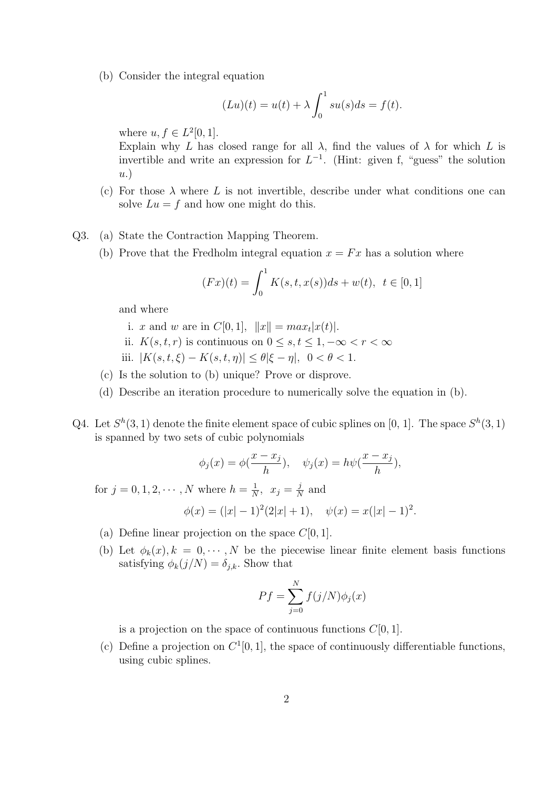(b) Consider the integral equation

$$
(Lu)(t) = u(t) + \lambda \int_0^1 su(s)ds = f(t).
$$

where  $u, f \in L^2[0,1]$ .

Explain why L has closed range for all  $\lambda$ , find the values of  $\lambda$  for which L is invertible and write an expression for  $L^{-1}$ . (Hint: given f, "guess" the solution u.)

- (c) For those  $\lambda$  where L is not invertible, describe under what conditions one can solve  $Lu = f$  and how one might do this.
- Q3. (a) State the Contraction Mapping Theorem.
	- (b) Prove that the Fredholm integral equation  $x = Fx$  has a solution where

$$
(Fx)(t) = \int_0^1 K(s, t, x(s))ds + w(t), \ t \in [0, 1]
$$

and where

- i. x and w are in  $C[0,1]$ ,  $||x|| = max_t |x(t)|$ .
- ii.  $K(s,t,r)$  is continuous on  $0 \leq s,t \leq 1, -\infty < r < \infty$
- iii.  $|K(s,t,\xi) K(s,t,\eta)| \leq \theta |\xi \eta|, \ 0 < \theta < 1.$
- (c) Is the solution to (b) unique? Prove or disprove.
- (d) Describe an iteration procedure to numerically solve the equation in (b).
- Q4. Let  $S^h(3,1)$  denote the finite element space of cubic splines on [0, 1]. The space  $S^h(3,1)$ is spanned by two sets of cubic polynomials

$$
\phi_j(x) = \phi(\frac{x - x_j}{h}), \quad \psi_j(x) = h\psi(\frac{x - x_j}{h}),
$$

for  $j = 0, 1, 2, \cdots, N$  where  $h = \frac{1}{N}$  $\frac{1}{N}$ ,  $x_j = \frac{j}{N}$  $\frac{\jmath}{N}$  and

$$
\phi(x) = (|x| - 1)^2 (2|x| + 1), \quad \psi(x) = x(|x| - 1)^2.
$$

- (a) Define linear projection on the space  $C[0, 1]$ .
- (b) Let  $\phi_k(x)$ ,  $k = 0, \dots, N$  be the piecewise linear finite element basis functions satisfying  $\phi_k(j/N) = \delta_{j,k}$ . Show that

$$
Pf = \sum_{j=0}^{N} f(j/N)\phi_j(x)
$$

is a projection on the space of continuous functions  $C[0, 1]$ .

(c) Define a projection on  $C^1[0,1]$ , the space of continuously differentiable functions, using cubic splines.